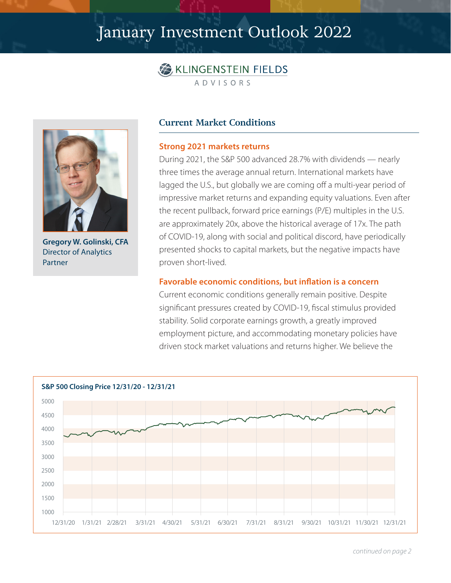# January Investment Outlook 2022





**Gregory W. Golinski, CFA** Director of Analytics Partner

## **Current Market Conditions**

#### **Strong 2021 markets returns**

During 2021, the S&P 500 advanced 28.7% with dividends — nearly three times the average annual return. International markets have lagged the U.S., but globally we are coming off a multi-year period of impressive market returns and expanding equity valuations. Even after the recent pullback, forward price earnings (P/E) multiples in the U.S. are approximately 20x, above the historical average of 17x. The path of COVID-19, along with social and political discord, have periodically presented shocks to capital markets, but the negative impacts have proven short-lived.

#### **Favorable economic conditions, but inflation is a concern**

Current economic conditions generally remain positive. Despite significant pressures created by COVID-19, fiscal stimulus provided stability. Solid corporate earnings growth, a greatly improved employment picture, and accommodating monetary policies have driven stock market valuations and returns higher. We believe the



*continued on page 2*